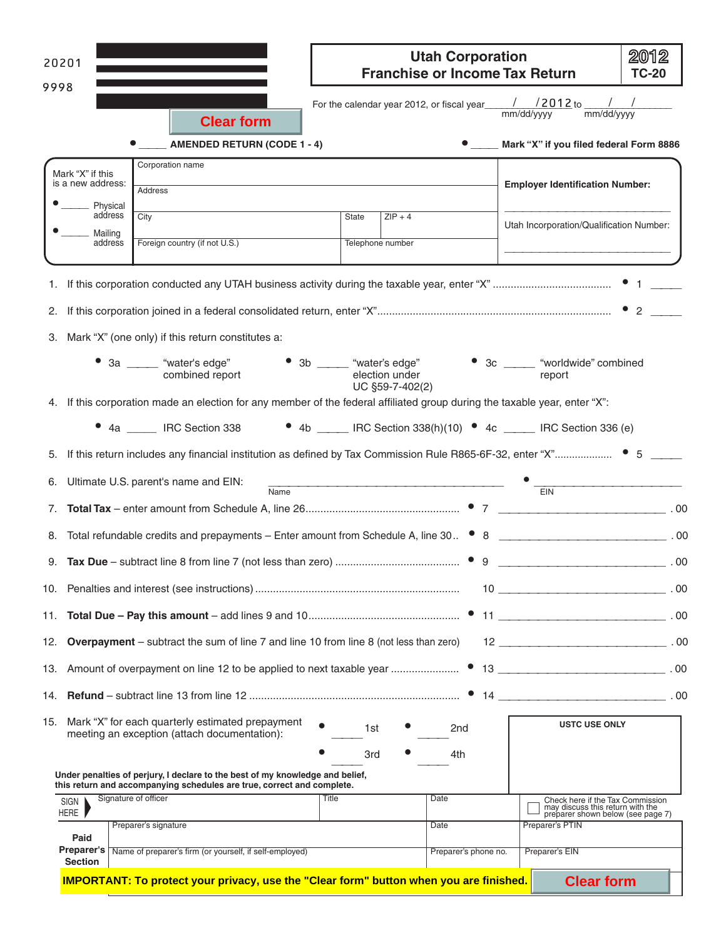| 20201                                 |                                                                                                                                                         |              |       |                                                                                                          | <b>Utah Corporation</b><br><b>Franchise or Income Tax Return</b> |                                                                                                                                                             | 2012<br><b>TC-20</b> |
|---------------------------------------|---------------------------------------------------------------------------------------------------------------------------------------------------------|--------------|-------|----------------------------------------------------------------------------------------------------------|------------------------------------------------------------------|-------------------------------------------------------------------------------------------------------------------------------------------------------------|----------------------|
| 9998                                  | <b>Clear form</b><br><b>AMENDED RETURN (CODE 1 - 4)</b>                                                                                                 |              |       |                                                                                                          |                                                                  | For the calendar year 2012, or fiscal year $\frac{1}{2012}$ to $\frac{1}{2012}$ to $\frac{1}{2012}$ mm/dd/yyyy<br>• Mark "X" if you filed federal Form 8886 |                      |
|                                       | Corporation name                                                                                                                                        |              |       |                                                                                                          |                                                                  |                                                                                                                                                             |                      |
| Mark "X" if this<br>is a new address: | Address                                                                                                                                                 |              |       |                                                                                                          |                                                                  | <b>Employer Identification Number:</b>                                                                                                                      |                      |
| Physical<br>address                   |                                                                                                                                                         |              |       |                                                                                                          |                                                                  |                                                                                                                                                             |                      |
| Mailing                               | City                                                                                                                                                    |              | State | $ZIP + 4$                                                                                                |                                                                  | Utah Incorporation/Qualification Number:                                                                                                                    |                      |
| address                               | Foreign country (if not U.S.)                                                                                                                           |              |       | Telephone number                                                                                         |                                                                  |                                                                                                                                                             |                      |
|                                       |                                                                                                                                                         |              |       |                                                                                                          |                                                                  |                                                                                                                                                             |                      |
|                                       |                                                                                                                                                         |              |       |                                                                                                          |                                                                  |                                                                                                                                                             |                      |
|                                       |                                                                                                                                                         |              |       |                                                                                                          |                                                                  |                                                                                                                                                             |                      |
|                                       | 3. Mark "X" (one only) if this return constitutes a:                                                                                                    |              |       |                                                                                                          |                                                                  |                                                                                                                                                             |                      |
|                                       | • 3a _____ "water's edge"<br>combined report                                                                                                            |              |       | $\bullet$ 3b $\frac{\text{``water's edge''}}{\text{electron area}}$<br>election under<br>UC §59-7-402(2) |                                                                  | • 3c ______ "worldwide" combined<br>report                                                                                                                  |                      |
|                                       | 4. If this corporation made an election for any member of the federal affiliated group during the taxable year, enter "X":                              |              |       |                                                                                                          |                                                                  |                                                                                                                                                             |                      |
|                                       | • 4a _____ IRC Section 338                                                                                                                              |              |       |                                                                                                          |                                                                  | • 4b _____ IRC Section 338(h)(10) • 4c _____ IRC Section 336 (e)                                                                                            |                      |
|                                       |                                                                                                                                                         |              |       |                                                                                                          |                                                                  |                                                                                                                                                             |                      |
| 6.                                    | Ultimate U.S. parent's name and EIN:                                                                                                                    |              |       |                                                                                                          |                                                                  |                                                                                                                                                             |                      |
| 7.                                    | Name                                                                                                                                                    |              |       |                                                                                                          |                                                                  | EIN                                                                                                                                                         |                      |
| 8.                                    | Total refundable credits and prepayments – Enter amount from Schedule A, line 30 ● 8 ________________________________.00                                |              |       |                                                                                                          |                                                                  |                                                                                                                                                             |                      |
|                                       |                                                                                                                                                         |              |       |                                                                                                          |                                                                  |                                                                                                                                                             |                      |
|                                       |                                                                                                                                                         |              |       |                                                                                                          |                                                                  |                                                                                                                                                             |                      |
|                                       |                                                                                                                                                         |              |       |                                                                                                          |                                                                  |                                                                                                                                                             |                      |
|                                       |                                                                                                                                                         |              |       |                                                                                                          |                                                                  |                                                                                                                                                             |                      |
|                                       | 12. Overpayment – subtract the sum of line 7 and line 10 from line 8 (not less than zero)                                                               |              |       |                                                                                                          |                                                                  |                                                                                                                                                             |                      |
|                                       |                                                                                                                                                         |              |       |                                                                                                          |                                                                  |                                                                                                                                                             |                      |
|                                       |                                                                                                                                                         |              |       |                                                                                                          |                                                                  |                                                                                                                                                             |                      |
| 15.                                   | Mark "X" for each quarterly estimated prepayment<br>meeting an exception (attach documentation):                                                        |              | 1st   |                                                                                                          | 2nd                                                              | <b>USTC USE ONLY</b>                                                                                                                                        |                      |
|                                       |                                                                                                                                                         |              | 3rd   |                                                                                                          | 4th                                                              |                                                                                                                                                             |                      |
|                                       | Under penalties of perjury, I declare to the best of my knowledge and belief,<br>this return and accompanying schedules are true, correct and complete. |              |       |                                                                                                          |                                                                  |                                                                                                                                                             |                      |
| SIGN                                  | Signature of officer                                                                                                                                    | <b>Title</b> |       |                                                                                                          | Date                                                             | Check here if the Tax Commission<br>may discuss this return with the                                                                                        |                      |
| HERE                                  | Preparer's signature                                                                                                                                    |              |       |                                                                                                          | Date                                                             | preparer shown below (see page 7)<br><b>Preparer's PTIN</b>                                                                                                 |                      |
| Paid<br>Preparer's                    | Name of preparer's firm (or yourself, if self-employed)                                                                                                 |              |       |                                                                                                          | Preparer's phone no.                                             | Preparer's EIN                                                                                                                                              |                      |
| <b>Section</b>                        | <b>IMPORTANT: To protect your privacy, use the "Clear form" button when you are finished.</b>                                                           |              |       |                                                                                                          |                                                                  | <b>Clear form</b>                                                                                                                                           |                      |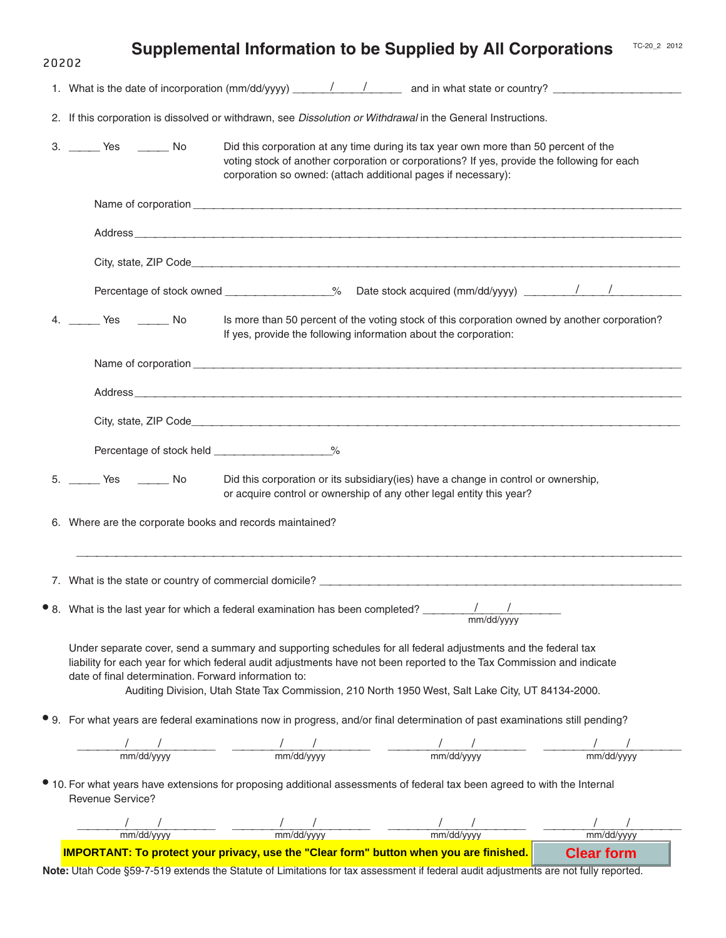| 20202 |                                                           |  | <b>Supplemental Information to be Supplied by All Corporations</b>                                                                                                                                                                                                                                                                          | TC-20_2 2012                                                                               |
|-------|-----------------------------------------------------------|--|---------------------------------------------------------------------------------------------------------------------------------------------------------------------------------------------------------------------------------------------------------------------------------------------------------------------------------------------|--------------------------------------------------------------------------------------------|
|       |                                                           |  |                                                                                                                                                                                                                                                                                                                                             |                                                                                            |
|       |                                                           |  | 2. If this corporation is dissolved or withdrawn, see Dissolution or Withdrawal in the General Instructions.                                                                                                                                                                                                                                |                                                                                            |
|       | 3. ________ Yes ________ No                               |  | Did this corporation at any time during its tax year own more than 50 percent of the<br>voting stock of another corporation or corporations? If yes, provide the following for each<br>corporation so owned: (attach additional pages if necessary):                                                                                        |                                                                                            |
|       |                                                           |  |                                                                                                                                                                                                                                                                                                                                             |                                                                                            |
|       |                                                           |  |                                                                                                                                                                                                                                                                                                                                             |                                                                                            |
|       |                                                           |  | City, state, ZIP Code entrance and contact the control of the control of the control of the control of the control of the control of the control of the control of the control of the control of the control of the control of                                                                                                              |                                                                                            |
|       |                                                           |  |                                                                                                                                                                                                                                                                                                                                             | Percentage of stock owned ________________% Date stock acquired (mm/dd/yyyy) _______/ ___/ |
|       | 4. No Yes _______ No                                      |  | Is more than 50 percent of the voting stock of this corporation owned by another corporation?<br>If yes, provide the following information about the corporation:                                                                                                                                                                           |                                                                                            |
|       |                                                           |  |                                                                                                                                                                                                                                                                                                                                             |                                                                                            |
|       |                                                           |  |                                                                                                                                                                                                                                                                                                                                             |                                                                                            |
|       |                                                           |  | City, state, ZIP Code                                                                                                                                                                                                                                                                                                                       |                                                                                            |
|       | Percentage of stock held ___________________%             |  |                                                                                                                                                                                                                                                                                                                                             |                                                                                            |
|       | 5. ________ Yes ________ No                               |  | Did this corporation or its subsidiary(ies) have a change in control or ownership,<br>or acquire control or ownership of any other legal entity this year?                                                                                                                                                                                  |                                                                                            |
|       | 6. Where are the corporate books and records maintained?  |  |                                                                                                                                                                                                                                                                                                                                             |                                                                                            |
|       | 7. What is the state or country of commercial domicile? _ |  |                                                                                                                                                                                                                                                                                                                                             |                                                                                            |
|       |                                                           |  | • 8. What is the last year for which a federal examination has been completed? $\frac{1}{\text{mm/dd/yyy}}$                                                                                                                                                                                                                                 |                                                                                            |
|       | date of final determination. Forward information to:      |  | Under separate cover, send a summary and supporting schedules for all federal adjustments and the federal tax<br>liability for each year for which federal audit adjustments have not been reported to the Tax Commission and indicate<br>Auditing Division, Utah State Tax Commission, 210 North 1950 West, Salt Lake City, UT 84134-2000. |                                                                                            |
|       |                                                           |  | • 9. For what years are federal examinations now in progress, and/or final determination of past examinations still pending?                                                                                                                                                                                                                |                                                                                            |
|       |                                                           |  |                                                                                                                                                                                                                                                                                                                                             |                                                                                            |
|       | <b>Revenue Service?</b>                                   |  | • 10. For what years have extensions for proposing additional assessments of federal tax been agreed to with the Internal                                                                                                                                                                                                                   |                                                                                            |
|       |                                                           |  |                                                                                                                                                                                                                                                                                                                                             |                                                                                            |
|       |                                                           |  |                                                                                                                                                                                                                                                                                                                                             |                                                                                            |

**Note:** Utah Code §59-7-519 extends the Statute of Limitations for tax assessment if federal audit adjustments are not fully reported.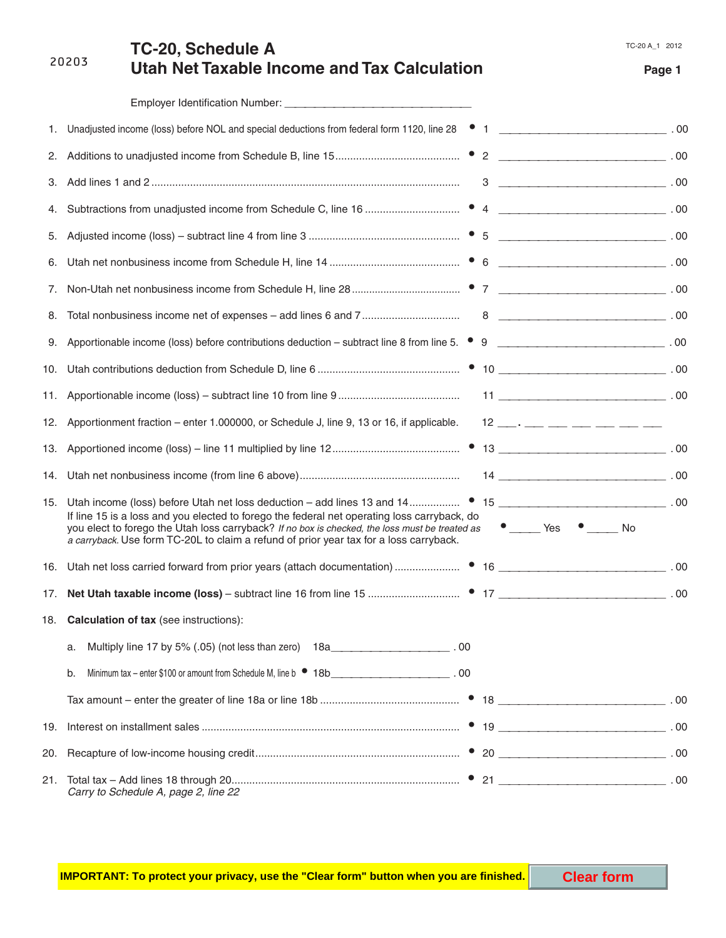TC-20 A\_1 2012

# **Utah Net Taxable Income and Tax Calculation Fage 1 and Tax Calculation**

| ٧ |  |
|---|--|
|---|--|

**TC-20, Schedule A**

|     | Unadjusted income (loss) before NOL and special deductions from federal form 1120, line 28 ● 1 _________________________________.00                                                                                                                                                           |  |
|-----|-----------------------------------------------------------------------------------------------------------------------------------------------------------------------------------------------------------------------------------------------------------------------------------------------|--|
| 2.  |                                                                                                                                                                                                                                                                                               |  |
| 3.  |                                                                                                                                                                                                                                                                                               |  |
|     |                                                                                                                                                                                                                                                                                               |  |
| 5.  |                                                                                                                                                                                                                                                                                               |  |
| 6.  |                                                                                                                                                                                                                                                                                               |  |
| 7.  |                                                                                                                                                                                                                                                                                               |  |
| 8.  |                                                                                                                                                                                                                                                                                               |  |
|     | 9. Apportionable income (loss) before contributions deduction - subtract line 8 from line 5. • 9 ___________________________00                                                                                                                                                                |  |
|     |                                                                                                                                                                                                                                                                                               |  |
|     |                                                                                                                                                                                                                                                                                               |  |
|     | 12. Apportionment fraction – enter 1.000000, or Schedule J, line 9, 13 or 16, if applicable. 12 ____. ___ ___ ___ ___ ___ ___                                                                                                                                                                 |  |
|     |                                                                                                                                                                                                                                                                                               |  |
|     |                                                                                                                                                                                                                                                                                               |  |
|     | If line 15 is a loss and you elected to forego the federal net operating loss carryback, do<br>you elect to forego the Utah loss carryback? If no box is checked, the loss must be treated as<br>No<br>a carryback. Use form TC-20L to claim a refund of prior year tax for a loss carryback. |  |
|     |                                                                                                                                                                                                                                                                                               |  |
|     |                                                                                                                                                                                                                                                                                               |  |
|     | 18. Calculation of tax (see instructions):                                                                                                                                                                                                                                                    |  |
|     | Multiply line 17 by 5% (.05) (not less than zero) 18a______________________. 00<br>a.                                                                                                                                                                                                         |  |
|     | Minimum tax - enter \$100 or amount from Schedule M, line b $\bullet$ 18b<br>b.                                                                                                                                                                                                               |  |
|     |                                                                                                                                                                                                                                                                                               |  |
| 19. |                                                                                                                                                                                                                                                                                               |  |
| 20. |                                                                                                                                                                                                                                                                                               |  |
|     | Carry to Schedule A, page 2, line 22                                                                                                                                                                                                                                                          |  |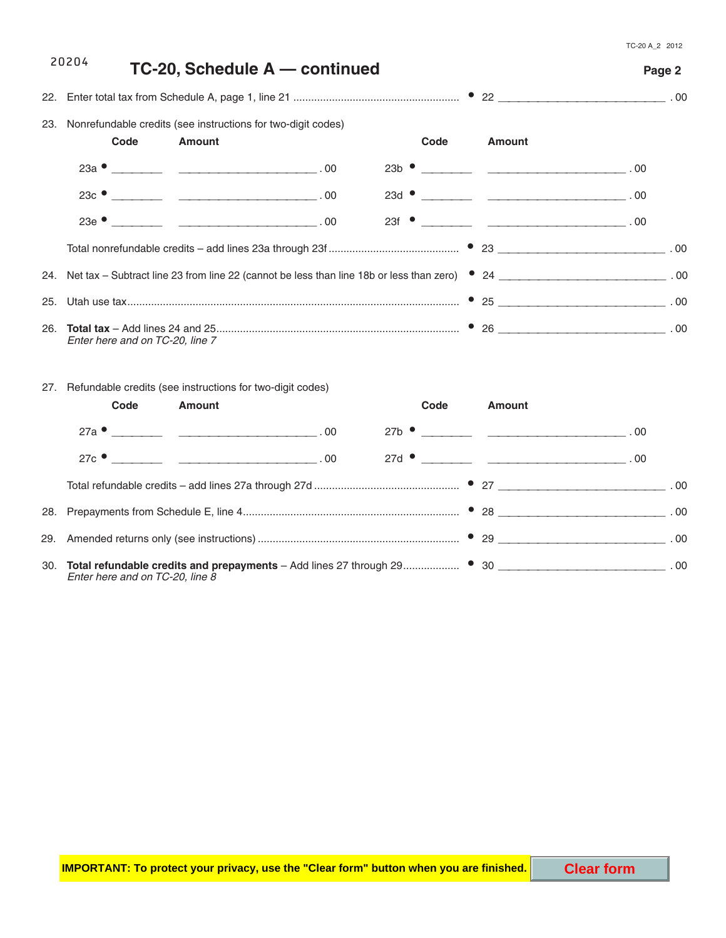### **TC-20, Schedule A — continued Page 2** 20204

| Code                            | 23. Nonrefundable credits (see instructions for two-digit codes)<br>Amount                                                            | Code | <b>Amount</b> |  |
|---------------------------------|---------------------------------------------------------------------------------------------------------------------------------------|------|---------------|--|
|                                 |                                                                                                                                       |      |               |  |
|                                 |                                                                                                                                       |      |               |  |
|                                 |                                                                                                                                       |      |               |  |
|                                 |                                                                                                                                       |      |               |  |
|                                 | 24. Net tax – Subtract line 23 from line 22 (cannot be less than line 18b or less than zero) ● 24 ________________________________.00 |      |               |  |
|                                 |                                                                                                                                       |      |               |  |
| Enter here and on TC-20, line 7 |                                                                                                                                       |      |               |  |
|                                 |                                                                                                                                       |      |               |  |

27. Refundable credits (see instructions for two-digit codes)

| Code                            | Amount                                                                                                                                                                                                                                                                                                                                                                           | Code | <b>Amount</b> |  |
|---------------------------------|----------------------------------------------------------------------------------------------------------------------------------------------------------------------------------------------------------------------------------------------------------------------------------------------------------------------------------------------------------------------------------|------|---------------|--|
|                                 | $27a$ $\bullet$ $\qquad \qquad$ $\qquad \qquad$ $\qquad \qquad$ $\qquad \qquad$ $\qquad \qquad$ $\qquad \qquad$ $\qquad \qquad$ $\qquad \qquad$ $\qquad \qquad$ $\qquad \qquad$ $\qquad \qquad$ $\qquad \qquad$ $\qquad \qquad$ $\qquad \qquad$ $\qquad$ $\qquad \qquad$ $\qquad$ $\qquad$ $\qquad$ $\qquad$ $\qquad$ $\qquad$ $\qquad$ $\qquad$ $\qquad$ $\qquad$ $\qquad$ $\q$ |      |               |  |
|                                 | $27c \bullet$ 00                                                                                                                                                                                                                                                                                                                                                                 |      |               |  |
|                                 |                                                                                                                                                                                                                                                                                                                                                                                  |      |               |  |
|                                 |                                                                                                                                                                                                                                                                                                                                                                                  |      |               |  |
|                                 |                                                                                                                                                                                                                                                                                                                                                                                  |      |               |  |
| Enter here and on TC-20, line 8 |                                                                                                                                                                                                                                                                                                                                                                                  |      |               |  |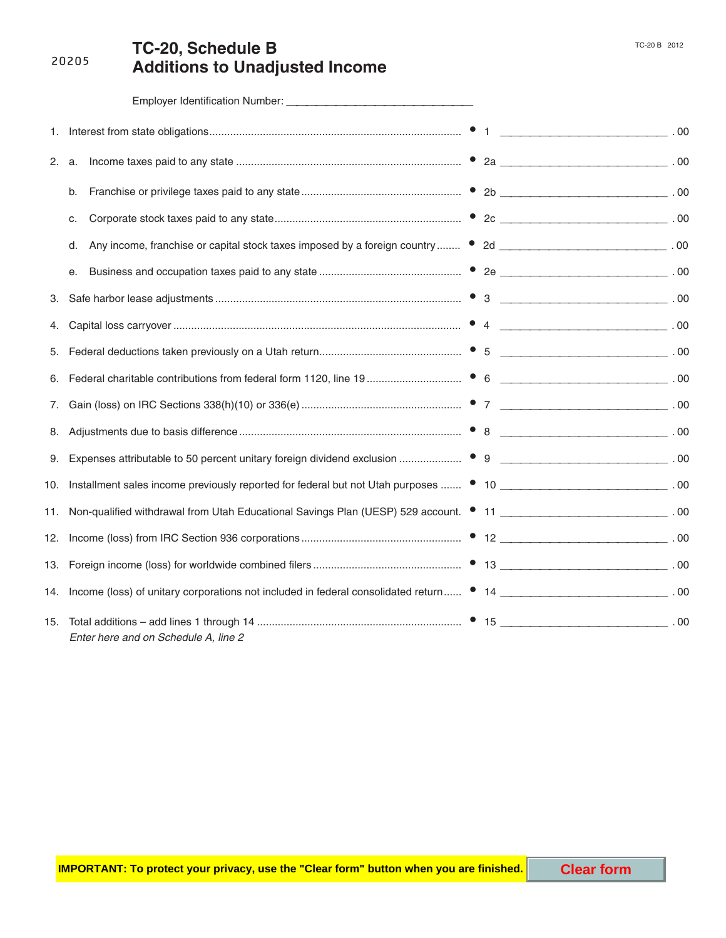# **TC-20, Schedule B Additions to Unadjusted Income**

| 1.  |                                                                                                                             |  |
|-----|-----------------------------------------------------------------------------------------------------------------------------|--|
| 2.  | a.                                                                                                                          |  |
|     | b.                                                                                                                          |  |
|     | c.                                                                                                                          |  |
|     | Any income, franchise or capital stock taxes imposed by a foreign country • 2d __________________________.00<br>d.          |  |
|     | е.                                                                                                                          |  |
| З.  |                                                                                                                             |  |
|     |                                                                                                                             |  |
| 5.  |                                                                                                                             |  |
| 6.  |                                                                                                                             |  |
| 7.  |                                                                                                                             |  |
| 8.  |                                                                                                                             |  |
| 9.  |                                                                                                                             |  |
| 10. |                                                                                                                             |  |
| 11. | Non-qualified withdrawal from Utah Educational Savings Plan (UESP) 529 account. ● 11 ____________________________.00        |  |
| 12. |                                                                                                                             |  |
|     |                                                                                                                             |  |
|     | 14. Income (loss) of unitary corporations not included in federal consolidated return • 14 _____________________________.00 |  |
|     | Enter here and on Schedule A. line 2                                                                                        |  |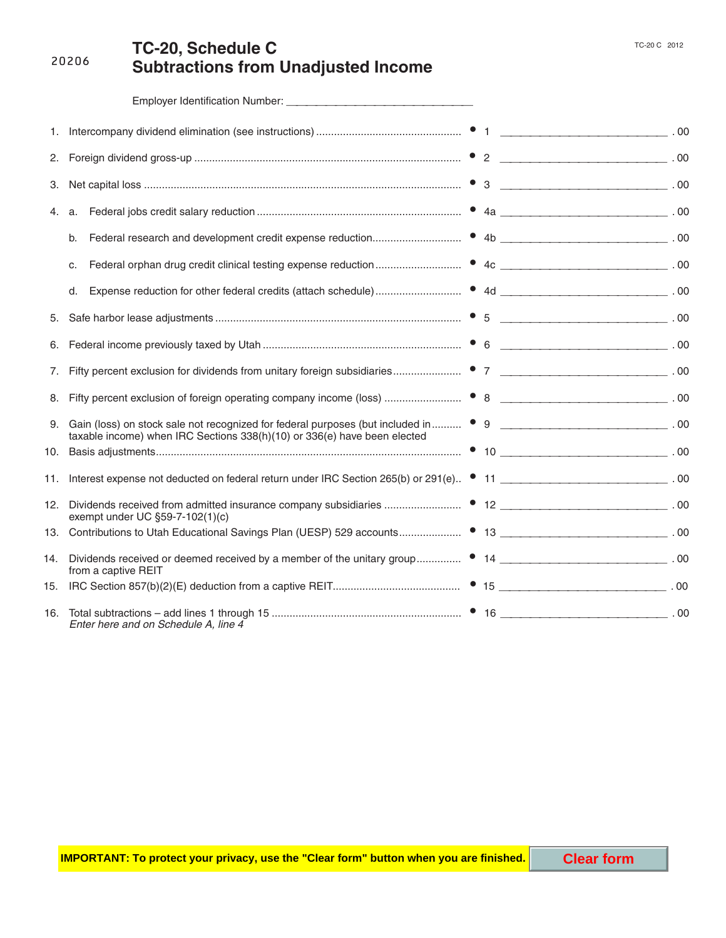# **TC-20, Schedule C Subtractions from Unadjusted Income**

| 2.  |                                                                                                                              |  |
|-----|------------------------------------------------------------------------------------------------------------------------------|--|
| 3.  |                                                                                                                              |  |
| 4.  | a.                                                                                                                           |  |
|     | b.                                                                                                                           |  |
|     | c.                                                                                                                           |  |
|     | d.                                                                                                                           |  |
| 5.  |                                                                                                                              |  |
| 6.  |                                                                                                                              |  |
| 7.  |                                                                                                                              |  |
| 8.  |                                                                                                                              |  |
| 9.  | taxable income) when IRC Sections 338(h)(10) or 336(e) have been elected                                                     |  |
| 10. |                                                                                                                              |  |
|     | 11. Interest expense not deducted on federal return under IRC Section 265(b) or 291(e) ● 11 ______________________________00 |  |
| 12. | exempt under UC §59-7-102(1)(c)                                                                                              |  |
| 13. |                                                                                                                              |  |
| 14. | from a captive REIT                                                                                                          |  |
| 15. |                                                                                                                              |  |
| 16. | Enter here and on Schedule A, line 4                                                                                         |  |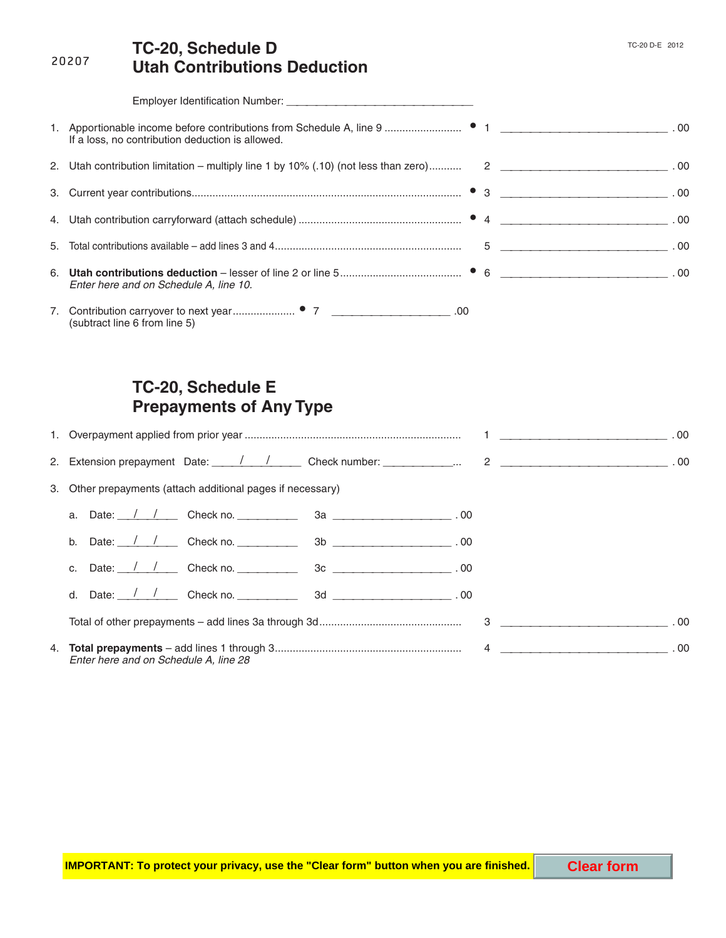# **TC-20, Schedule D Utah Contributions Deduction**

| If a loss, no contribution deduction is allowed. |  |  |
|--------------------------------------------------|--|--|
|                                                  |  |  |
|                                                  |  |  |
|                                                  |  |  |
|                                                  |  |  |
| Enter here and on Schedule A, line 10.           |  |  |
| (subtract line 6 from line 5)                    |  |  |

| TC-20, Schedule E              |
|--------------------------------|
| <b>Prepayments of Any Type</b> |

|                                       |                                                             |                                                              | 2. Extension prepayment Date: 1 1 1 Check number: 2 2 2 2 00 |  |
|---------------------------------------|-------------------------------------------------------------|--------------------------------------------------------------|--------------------------------------------------------------|--|
|                                       | 3. Other prepayments (attach additional pages if necessary) |                                                              |                                                              |  |
|                                       |                                                             | a. Date: $/ / /$ Check no. 3a 2000 Check no.                 |                                                              |  |
|                                       |                                                             |                                                              |                                                              |  |
|                                       |                                                             | c. Date: $\frac{1}{1}$ $\frac{1}{1}$ Check no. 200 3c 200 3c |                                                              |  |
|                                       |                                                             | d. Date: $11$ Check no. 200 3d 200 200 30                    |                                                              |  |
|                                       |                                                             |                                                              |                                                              |  |
| Enter here and on Schedule A, line 28 |                                                             |                                                              |                                                              |  |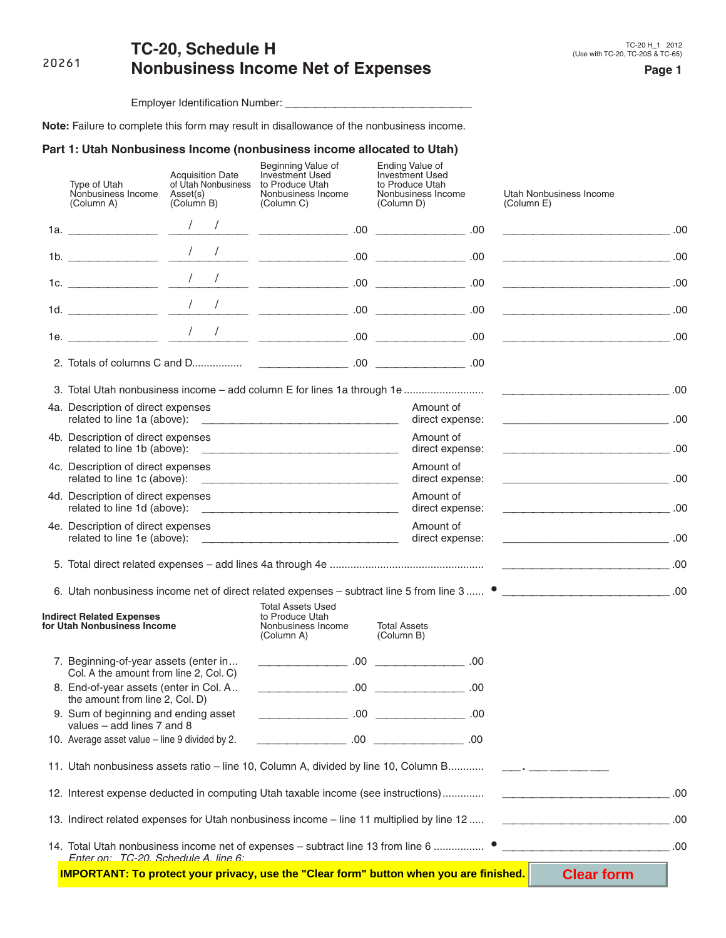# **TC-20, Schedule H Nonbusiness Income Net of Expenses Access Access Page 1**

Employer Identification Number: \_\_\_\_\_\_

**Note:** Failure to complete this form may result in disallowance of the nonbusiness income.

### **Part 1: Utah Nonbusiness Income (nonbusiness income allocated to Utah)**

| Type of Utah<br>Nonbusiness Income<br>(Column A)                                | <b>Acquisition Date</b><br>Asset(s)<br>(Column B) | Beginning Value of<br>Investment Used<br>of Utah Nonbusiness to Produce Utah<br>Nonbusiness Income<br>(Column C)      |                              | Ending Value of<br><b>Investment Used</b><br>to Produce Utah<br>Nonbusiness Income<br>(Column D) |     | Utah Nonbusiness Income<br>(Column E)                                                     |     |
|---------------------------------------------------------------------------------|---------------------------------------------------|-----------------------------------------------------------------------------------------------------------------------|------------------------------|--------------------------------------------------------------------------------------------------|-----|-------------------------------------------------------------------------------------------|-----|
|                                                                                 |                                                   |                                                                                                                       |                              |                                                                                                  |     | $\overline{\phantom{a}}$ .00                                                              |     |
|                                                                                 |                                                   |                                                                                                                       |                              |                                                                                                  |     |                                                                                           |     |
|                                                                                 |                                                   |                                                                                                                       |                              |                                                                                                  |     |                                                                                           |     |
|                                                                                 |                                                   |                                                                                                                       |                              |                                                                                                  |     |                                                                                           |     |
|                                                                                 |                                                   |                                                                                                                       |                              |                                                                                                  |     |                                                                                           |     |
|                                                                                 |                                                   |                                                                                                                       |                              |                                                                                                  |     |                                                                                           |     |
|                                                                                 |                                                   |                                                                                                                       |                              |                                                                                                  |     |                                                                                           |     |
| 4a. Description of direct expenses<br>related to line 1a (above):               |                                                   |                                                                                                                       |                              | Amount of<br>direct expense:                                                                     |     |                                                                                           |     |
| 4b. Description of direct expenses<br>related to line 1b (above):               |                                                   |                                                                                                                       |                              | Amount of<br>direct expense:                                                                     |     |                                                                                           |     |
| 4c. Description of direct expenses<br>related to line 1c (above):               |                                                   | <u> 2008 - Johann Stoff, amerikansk politiker (d. 1982)</u>                                                           |                              | Amount of<br>direct expense:                                                                     |     |                                                                                           |     |
| 4d. Description of direct expenses<br>related to line 1d (above):               |                                                   | <u> 1989 - Johann Barbara, martin amerikan persoan di sebagai persoan di sebagai persoan di sebagai persoan di se</u> |                              | Amount of<br>direct expense:                                                                     |     | $\overline{\phantom{a}}$ .00                                                              |     |
| 4e. Description of direct expenses                                              |                                                   |                                                                                                                       |                              | Amount of<br>direct expense:                                                                     |     |                                                                                           |     |
|                                                                                 |                                                   |                                                                                                                       |                              |                                                                                                  |     |                                                                                           |     |
|                                                                                 |                                                   |                                                                                                                       |                              |                                                                                                  |     |                                                                                           |     |
| <b>Indirect Related Expenses</b><br>for Utah Nonbusiness Income                 |                                                   | <b>Total Assets Used</b><br>to Produce Utah<br>Nonbusiness Income<br>(Column A)                                       |                              | <b>Total Assets</b><br>(Column B)                                                                |     |                                                                                           |     |
| 7. Beginning-of-year assets (enter in<br>Col. A the amount from line 2, Col. C) |                                                   |                                                                                                                       |                              | $\sim$ .00 $\sim$ .00 $\sim$                                                                     |     |                                                                                           |     |
| 8. End-of-year assets (enter in Col. A<br>the amount from line 2, Col. D)       |                                                   |                                                                                                                       | $\overline{\phantom{0}}$ .00 |                                                                                                  | .00 |                                                                                           |     |
| 9. Sum of beginning and ending asset<br>values - add lines 7 and 8              |                                                   |                                                                                                                       |                              | $\sim$ .00 $\sim$ .00 $\sim$                                                                     |     |                                                                                           |     |
| 10. Average asset value – line 9 divided by 2.                                  |                                                   |                                                                                                                       |                              | $\sim$ .00 $\sim$ .00 $\sim$                                                                     |     |                                                                                           |     |
|                                                                                 |                                                   |                                                                                                                       |                              |                                                                                                  |     |                                                                                           |     |
|                                                                                 |                                                   |                                                                                                                       |                              |                                                                                                  |     |                                                                                           | .00 |
|                                                                                 |                                                   |                                                                                                                       |                              |                                                                                                  |     | 13. Indirect related expenses for Utah nonbusiness income - line 11 multiplied by line 12 | .00 |
| Fnter on: TC-20, Schedule A, line 6:                                            |                                                   |                                                                                                                       |                              |                                                                                                  |     |                                                                                           | .00 |
|                                                                                 |                                                   | <b>IMPORTANT: To protect your privacy, use the "Clear form" button when you are finished.</b>                         |                              |                                                                                                  |     | <b>Clear form</b>                                                                         |     |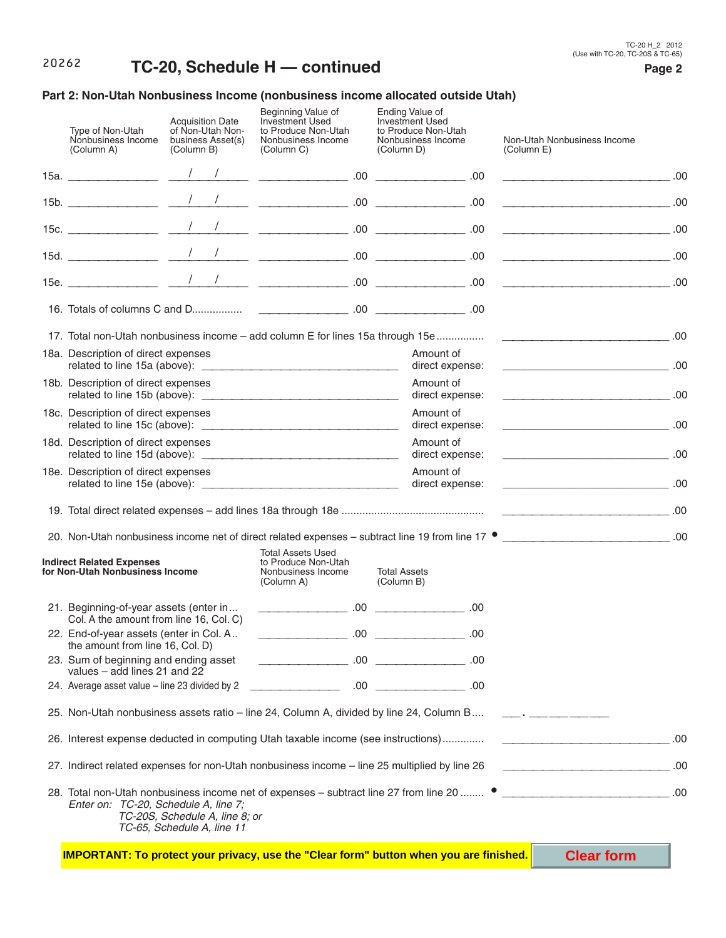#### **TC-20, Schedule H — continued Page 2 Page 2** 20262

### **Part 2: Non-Utah Nonbusiness Income (nonbusiness income allocated outside Utah)**

| Type of Non-Utah<br>Nonbusiness Income<br>(Column A)                              | <b>Acquisition Date</b><br>of Non-Utah Non-<br>business Asset(s)<br>(Column B) | Beginning Value of<br>Investment Used<br>to Produce Non-Utah<br>Nonbusiness Income<br>(Column C) | Ending Value of<br><b>Investment Used</b><br>to Produce Non-Utah<br>Nonbusiness Income<br>(Column D)                                                                                                                                                                                                                                                                                                                                                                 | Non-Utah Nonbusiness Income<br>(Column E)                                                                                                                                                 |  |
|-----------------------------------------------------------------------------------|--------------------------------------------------------------------------------|--------------------------------------------------------------------------------------------------|----------------------------------------------------------------------------------------------------------------------------------------------------------------------------------------------------------------------------------------------------------------------------------------------------------------------------------------------------------------------------------------------------------------------------------------------------------------------|-------------------------------------------------------------------------------------------------------------------------------------------------------------------------------------------|--|
|                                                                                   |                                                                                |                                                                                                  |                                                                                                                                                                                                                                                                                                                                                                                                                                                                      |                                                                                                                                                                                           |  |
|                                                                                   |                                                                                |                                                                                                  |                                                                                                                                                                                                                                                                                                                                                                                                                                                                      |                                                                                                                                                                                           |  |
|                                                                                   |                                                                                |                                                                                                  |                                                                                                                                                                                                                                                                                                                                                                                                                                                                      |                                                                                                                                                                                           |  |
|                                                                                   |                                                                                |                                                                                                  |                                                                                                                                                                                                                                                                                                                                                                                                                                                                      |                                                                                                                                                                                           |  |
|                                                                                   |                                                                                |                                                                                                  |                                                                                                                                                                                                                                                                                                                                                                                                                                                                      |                                                                                                                                                                                           |  |
|                                                                                   |                                                                                |                                                                                                  |                                                                                                                                                                                                                                                                                                                                                                                                                                                                      |                                                                                                                                                                                           |  |
|                                                                                   |                                                                                | 17. Total non-Utah nonbusiness income - add column E for lines 15a through 15e                   |                                                                                                                                                                                                                                                                                                                                                                                                                                                                      | $\overline{\phantom{a}}$ .00                                                                                                                                                              |  |
| 18a. Description of direct expenses                                               |                                                                                |                                                                                                  | Amount of<br>direct expense:                                                                                                                                                                                                                                                                                                                                                                                                                                         | $\overline{\phantom{iiiiiiiiiiiiiiiii}}$ .00                                                                                                                                              |  |
| 18b. Description of direct expenses                                               |                                                                                |                                                                                                  | Amount of<br>direct expense:                                                                                                                                                                                                                                                                                                                                                                                                                                         | $\overline{0}$                                                                                                                                                                            |  |
| 18c. Description of direct expenses                                               |                                                                                |                                                                                                  | Amount of                                                                                                                                                                                                                                                                                                                                                                                                                                                            |                                                                                                                                                                                           |  |
| 18d. Description of direct expenses                                               |                                                                                |                                                                                                  | direct expense:<br>Amount of                                                                                                                                                                                                                                                                                                                                                                                                                                         |                                                                                                                                                                                           |  |
|                                                                                   |                                                                                |                                                                                                  | direct expense:                                                                                                                                                                                                                                                                                                                                                                                                                                                      |                                                                                                                                                                                           |  |
| 18e. Description of direct expenses                                               |                                                                                |                                                                                                  | Amount of<br>direct expense:                                                                                                                                                                                                                                                                                                                                                                                                                                         | $\overline{\phantom{iiiiiiiiiiiiiiiii}}$ .00                                                                                                                                              |  |
|                                                                                   |                                                                                |                                                                                                  |                                                                                                                                                                                                                                                                                                                                                                                                                                                                      |                                                                                                                                                                                           |  |
|                                                                                   |                                                                                |                                                                                                  |                                                                                                                                                                                                                                                                                                                                                                                                                                                                      | 20. Non-Utah nonbusiness income net of direct related expenses - subtract line 19 from line 17 · __________________________.00                                                            |  |
| <b>Indirect Related Expenses</b><br>for Non-Utah Nonbusiness Income               |                                                                                | <b>Total Assets Used</b><br>to Produce Non-Utah<br>Nonbusiness Income<br>(Column A)              | <b>Total Assets</b><br>(Column B)                                                                                                                                                                                                                                                                                                                                                                                                                                    |                                                                                                                                                                                           |  |
| 21. Beginning-of-year assets (enter in<br>Col. A the amount from line 16, Col. C) |                                                                                |                                                                                                  | $\begin{tabular}{c} \multicolumn{2}{c }{\textbf{1}} & \multicolumn{2}{c }{\textbf{2}} \\ \multicolumn{2}{c }{\textbf{2}} & \multicolumn{2}{c }{\textbf{3}} \\ \multicolumn{2}{c }{\textbf{4}} & \multicolumn{2}{c }{\textbf{5}} \\ \multicolumn{2}{c }{\textbf{5}} & \multicolumn{2}{c }{\textbf{6}} \\ \multicolumn{2}{c }{\textbf{6}} & \multicolumn{2}{c }{\textbf{6}} \\ \multicolumn{2}{c }{\textbf{7}} & \multicolumn{2}{c }{\textbf{8}} \\ \multicolumn{2}{c$ |                                                                                                                                                                                           |  |
| 22. End-of-year assets (enter in Col. A<br>the amount from line 16, Col. D)       |                                                                                |                                                                                                  |                                                                                                                                                                                                                                                                                                                                                                                                                                                                      |                                                                                                                                                                                           |  |
| 23. Sum of beginning and ending asset<br>values - add lines 21 and 22             |                                                                                |                                                                                                  | $\begin{tabular}{c} \multicolumn{2}{c }{\textbf{1}} & \multicolumn{2}{c }{\textbf{0}} \\ \multicolumn{2}{c }{\textbf{0}} & \multicolumn{2}{c }{\textbf{0}} \\ \multicolumn{2}{c }{\textbf{0}} & \multicolumn{2}{c }{\textbf{0}} \\ \multicolumn{2}{c }{\textbf{0}} & \multicolumn{2}{c }{\textbf{0}} \\ \multicolumn{2}{c }{\textbf{0}} & \multicolumn{2}{c }{\textbf{0}} \\ \multicolumn{2}{c }{\textbf{0}} & \multicolumn{2}{c }{\textbf{0}} \\ \multicolumn{2}{c$ |                                                                                                                                                                                           |  |
|                                                                                   |                                                                                |                                                                                                  |                                                                                                                                                                                                                                                                                                                                                                                                                                                                      |                                                                                                                                                                                           |  |
|                                                                                   |                                                                                |                                                                                                  |                                                                                                                                                                                                                                                                                                                                                                                                                                                                      | 25. Non-Utah nonbusiness assets ratio – line 24, Column A, divided by line 24, Column B ______________                                                                                    |  |
|                                                                                   |                                                                                |                                                                                                  |                                                                                                                                                                                                                                                                                                                                                                                                                                                                      |                                                                                                                                                                                           |  |
|                                                                                   |                                                                                | 27. Indirect related expenses for non-Utah nonbusiness income - line 25 multiplied by line 26    |                                                                                                                                                                                                                                                                                                                                                                                                                                                                      |                                                                                                                                                                                           |  |
| Enter on: TC-20, Schedule A, line 7;                                              | TC-20S, Schedule A, line 8; or<br>TC-65, Schedule A, line 11                   |                                                                                                  |                                                                                                                                                                                                                                                                                                                                                                                                                                                                      | 28. Total non-Utah nonbusiness income net of expenses - subtract line 27 from line 20  . [20] 28. Total non-Utah nonbusiness income net of expenses - subtract line 27 from line 20  [20] |  |

**IMPORTANT: To protect your privacy, use the "Clear form" button when you are finished. Clear form**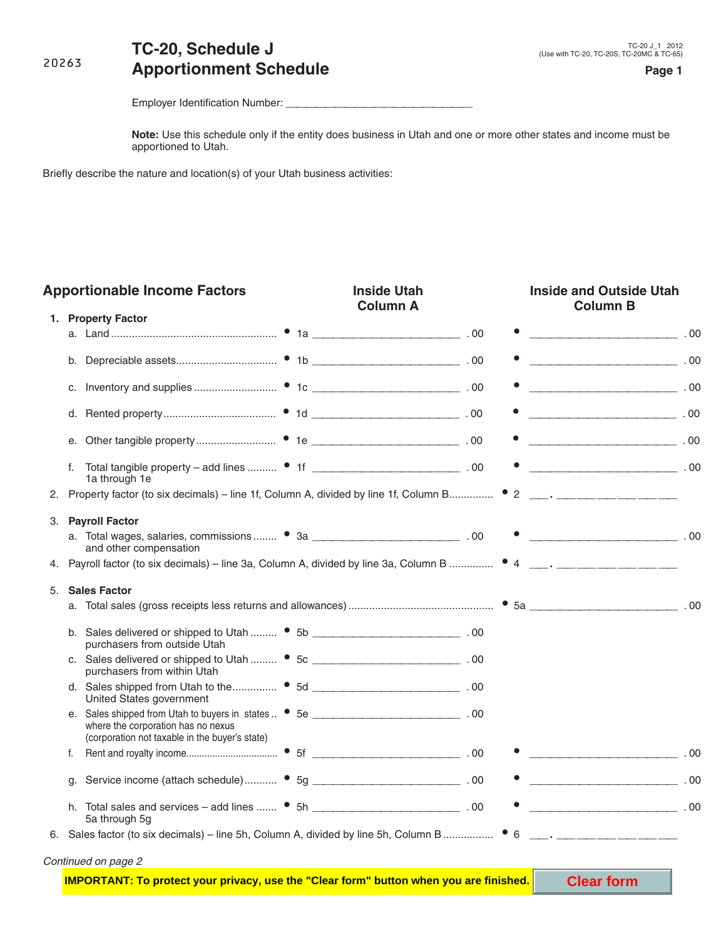# **TC-20, Schedule J Apportionment Schedule Apportionment Schedule**

Employer Identification Number: \_\_\_

**Note:** Use this schedule only if the entity does business in Utah and one or more other states and income must be apportioned to Utah.

Briefly describe the nature and location(s) of your Utah business activities:

# Apportionable Income Factors **Inside Utah** Inside Utah Inside and Outside Utah

|    | 1. Property Factor                                                                                                                                                          | <b>Column A</b> | <b>Column B</b>               |
|----|-----------------------------------------------------------------------------------------------------------------------------------------------------------------------------|-----------------|-------------------------------|
|    |                                                                                                                                                                             |                 | $\frac{1}{2}$ .00             |
|    |                                                                                                                                                                             |                 | $\sim$ 00 $\sim$              |
|    |                                                                                                                                                                             |                 |                               |
|    |                                                                                                                                                                             |                 |                               |
|    |                                                                                                                                                                             |                 | $\sim$ 00 $\sim$              |
| f. | Total tangible property - add lines  • 1f ____________________________ .00<br>1a through 1e                                                                                 |                 |                               |
|    |                                                                                                                                                                             |                 |                               |
|    | 3. Payroll Factor                                                                                                                                                           |                 |                               |
|    | and other compensation                                                                                                                                                      |                 | $\overline{\phantom{a}}$ . 00 |
|    |                                                                                                                                                                             |                 |                               |
|    | 5. Sales Factor                                                                                                                                                             |                 |                               |
|    |                                                                                                                                                                             |                 |                               |
|    | b. Sales delivered or shipped to Utah  • 5b ________________________________.00<br>purchasers from outside Utah                                                             |                 |                               |
|    | c. Sales delivered or shipped to Utah  • 5c [14] [15] C. Sales delivered or shipped to Utah  • 5c<br>purchasers from within Utah                                            |                 |                               |
|    | United States government                                                                                                                                                    |                 |                               |
|    | e. Sales shipped from Utah to buyers in states . • 5e __________________________.00<br>where the corporation has no nexus<br>(corporation not taxable in the buyer's state) |                 |                               |
| f. |                                                                                                                                                                             |                 | $\overline{\phantom{a}}$ .00  |
|    |                                                                                                                                                                             |                 | $\sim$ 00 $\sim$ 00 $\sim$    |
|    | h. Total sales and services – add lines $\bullet$ 5h<br>5a through 5g                                                                                                       |                 | $\overline{\phantom{a}}$ . 00 |
|    |                                                                                                                                                                             |                 |                               |
|    | Continued on page 2                                                                                                                                                         |                 |                               |

**IMPORTANT: To protect your privacy, use the "Clear form" button when you are finished. Clear form**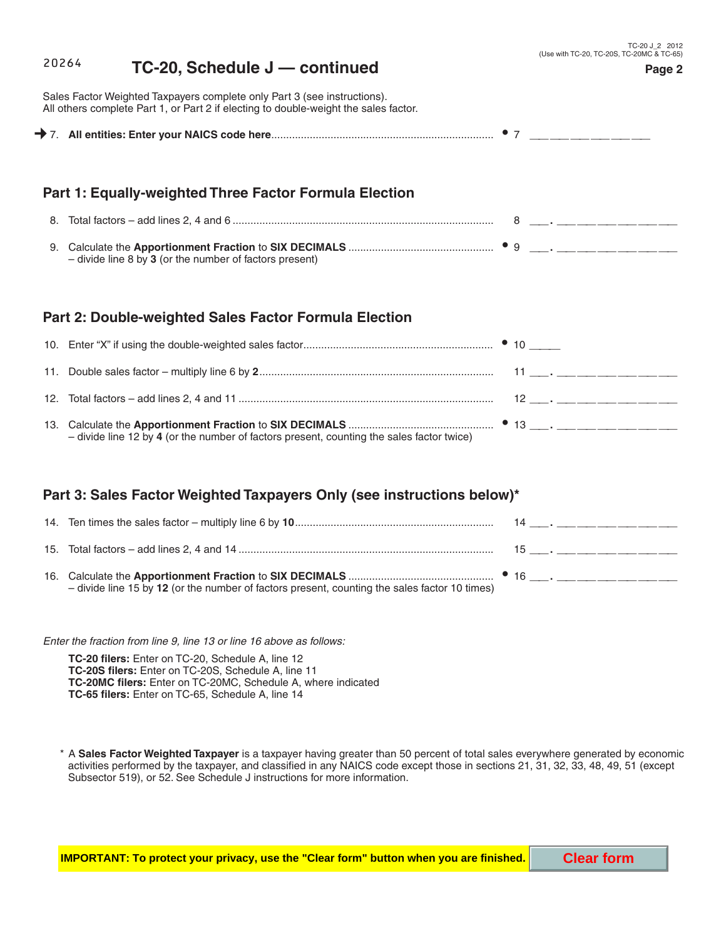|                                           | TC-20 J 2 2012 |  |
|-------------------------------------------|----------------|--|
| (Use with TC-20, TC-20S, TC-20MC & TC-65) |                |  |
|                                           |                |  |

#### **TC-20, Schedule J — continued Page 2** 20264

Sales Factor Weighted Taxpayers complete only Part 3 (see instructions). All others complete Part 1, or Part 2 if electing to double-weight the sales factor.

7. **All entities: Enter your NAICS code here**........................................................................... s 7 \_\_ \_\_ \_\_ \_\_ \_\_ \_\_

# **Part 1: Equally-weighted Three Factor Formula Election**

| $-$ divide line 8 by 3 (or the number of factors present) |  |
|-----------------------------------------------------------|--|

### **Part 2: Double-weighted Sales Factor Formula Election**

| - divide line 12 by 4 (or the number of factors present, counting the sales factor twice) |  |
|-------------------------------------------------------------------------------------------|--|

## **Part 3: Sales Factor Weighted Taxpayers Only (see instructions below)\***

| - divide line 15 by 12 (or the number of factors present, counting the sales factor 10 times) |  |  |
|-----------------------------------------------------------------------------------------------|--|--|

Enter the fraction from line 9, line 13 or line 16 above as follows:

 **TC-20 filers:** Enter on TC-20, Schedule A, line 12 **TC-20S filers:** Enter on TC-20S, Schedule A, line 11 **TC-20MC filers:** Enter on TC-20MC, Schedule A, where indicated **TC-65 filers:** Enter on TC-65, Schedule A, line 14

 \* A **Sales Factor Weighted Taxpayer** is a taxpayer having greater than 50 percent of total sales everywhere generated by economic activities performed by the taxpayer, and classified in any NAICS code except those in sections 21, 31, 32, 33, 48, 49, 51 (except Subsector 519), or 52. See Schedule J instructions for more information.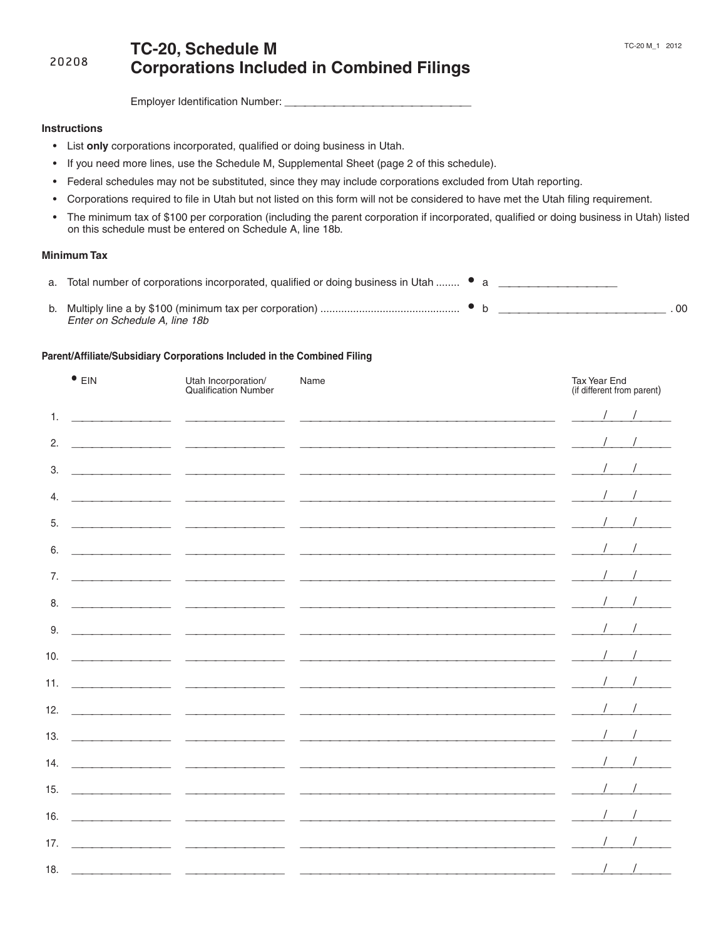Employer Identification Number: \_

#### **Instructions**

- List only corporations incorporated, qualified or doing business in Utah.
- If you need more lines, use the Schedule M, Supplemental Sheet (page 2 of this schedule).
- Federal schedules may not be substituted, since they may include corporations excluded from Utah reporting.
- Corporations required to file in Utah but not listed on this form will not be considered to have met the Utah filing requirement.
- The minimum tax of \$100 per corporation (including the parent corporation if incorporated, qualified or doing business in Utah) listed on this schedule must be entered on Schedule A, line 18b.

### **Minimum Tax**

| a. Total number of corporations incorporated, qualified or doing business in Utah $\bullet$ a |  |    |
|-----------------------------------------------------------------------------------------------|--|----|
| Enter on Schedule A, line 18b                                                                 |  | 00 |

#### Parent/Affiliate/Subsidiary Corporations Included in the Combined Filing

|     | $\bullet$ EIN | Utah Incorporation/<br><b>Qualification Number</b> | Name                                                                                                                    | <b>Tax Year End</b><br>(if different from parent) |
|-----|---------------|----------------------------------------------------|-------------------------------------------------------------------------------------------------------------------------|---------------------------------------------------|
| 1.  |               |                                                    |                                                                                                                         |                                                   |
| 2.  |               |                                                    |                                                                                                                         |                                                   |
| 3.  |               |                                                    | <u> 1999 - John John Harry Harry House, amerikan besteman besteman besteman besteman besteman besteman besteman bes</u> |                                                   |
| 4.  |               |                                                    | <u> 1999 - Jan James James, amerikansk politik (d. 1989)</u>                                                            |                                                   |
| 5.  |               |                                                    | <u> 1999 - Paul Barbarat, maria eta mondoaren harta harta (h. 1905).</u>                                                |                                                   |
| 6.  |               |                                                    | <u> 1919 - 1922 - Antonio III, amerikan menyebatkan bahasa ing kabupaten </u>                                           |                                                   |
| 7.  |               |                                                    |                                                                                                                         |                                                   |
| 8.  |               |                                                    | <u> 2008 - 2008 - 2008 - 2008 - 2008 - 2008 - 2008 - 2008 - 2008 - 2008 - 2008 - 2008 - 2008 - 2008 - 2008 - 200</u>    |                                                   |
| 9.  |               |                                                    |                                                                                                                         |                                                   |
| 10. |               |                                                    |                                                                                                                         |                                                   |
| 11. |               |                                                    | <u> 1999 - Johann John Harry Harry Harry Harry Harry Harry Harry Harry Harry Harry Harry Harry Harry Harry Harry H</u>  |                                                   |
| 12. |               |                                                    | <u> 2000 - 2000 - 2000 - 2000 - 2000 - 2000 - 2000 - 2000 - 2000 - 2000 - 2000 - 2000 - 2000 - 2000 - 2000 - 200</u>    |                                                   |
| 13. |               |                                                    |                                                                                                                         |                                                   |
| 14. |               |                                                    | <u> 2002 - Jan James James, politik američki politik (d. 1982)</u>                                                      |                                                   |
| 15. |               |                                                    |                                                                                                                         |                                                   |
| 16. |               |                                                    | <u> 2008 - Paris Paris III, prima de la propincia de la propincia de la propincia de la propincia de la propincia</u>   |                                                   |
| 17. |               |                                                    | <u> 1999 - Jan James James, participant et al. (2001)</u>                                                               |                                                   |
| 18. |               |                                                    | <u> 2000 - 2000 - 2000 - 2000 - 2000 - 2000 - 2000 - 2000 - 2000 - 2000 - 2000 - 2000 - 2000 - 2000 - 2000 - 200</u>    |                                                   |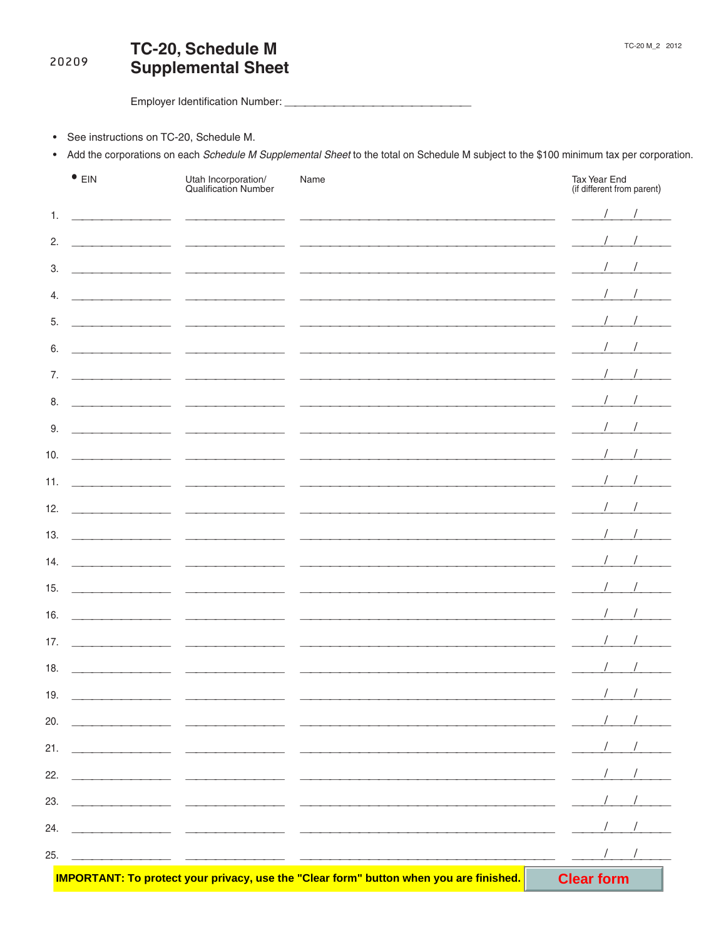See instructions on TC-20, Schedule M.  $\bullet$ 

20209

Add the corporations on each Schedule M Supplemental Sheet to the total on Schedule M subject to the \$100 minimum tax per corporation.  $\bullet$ 

| $\bullet$ EIN | Utah Incorporation/<br>Qualification Number  | Name                                                                                                                   | Tax Year End<br>(if different from parent) |
|---------------|----------------------------------------------|------------------------------------------------------------------------------------------------------------------------|--------------------------------------------|
| 1.            |                                              |                                                                                                                        |                                            |
| 2.            |                                              |                                                                                                                        |                                            |
| 3.            |                                              |                                                                                                                        |                                            |
| 4.            |                                              |                                                                                                                        |                                            |
| 5.            |                                              |                                                                                                                        |                                            |
| 6.            |                                              |                                                                                                                        |                                            |
| 7.            |                                              | a series and the series of the series of the series of the series of the series of the series of the series of         |                                            |
| 8.            |                                              |                                                                                                                        |                                            |
| 9.            |                                              | the control of the control of the control of the control of the control of the control of                              |                                            |
| 10.           | <u> 2002 - John Barbara (</u>                |                                                                                                                        |                                            |
| 11.           |                                              | <u> 1999 - Johann Johann Stor, fransk politik (d. 1989)</u>                                                            |                                            |
| 12.           | <u> 1980 - Jan Barbara Barbara, ma</u>       | <u> 1949 - Johann Johann Barn, mars ann an t-Amhain ann an t-Amhain ann an t-Amhain ann an t-Amhain ann an t-Amhai</u> |                                            |
| 13.           |                                              |                                                                                                                        |                                            |
| 14.           |                                              |                                                                                                                        |                                            |
| 15.           |                                              |                                                                                                                        |                                            |
| 16.           |                                              | <u> 1989 - 1989 - 1989 - 1989 - 1989 - 1989 - 1989 - 1989 - 1989 - 1989 - 1989 - 1989 - 1989 - 1989 - 1989 - 19</u>    |                                            |
| 17.           | the control of the control of the control of |                                                                                                                        |                                            |
| 18.           | <u> 1990 - Johann Barbara, mart</u>          |                                                                                                                        |                                            |
| 19.           |                                              |                                                                                                                        |                                            |
| 20.           |                                              | <u> 2000 - Paul Marie Marie (2000), provincial de la provincia de la provincia de la provincia de la provincia de</u>  |                                            |
| 21.           |                                              | <u> 1999 - Jan James James, amerikan bernama dan bernama dan bernama</u>                                               |                                            |
| 22.           |                                              |                                                                                                                        |                                            |
| 23.           |                                              | <u> 1999 - Jan James James, maria (h. 1989).</u>                                                                       |                                            |
| 24.           |                                              |                                                                                                                        |                                            |
| 25.           |                                              |                                                                                                                        |                                            |
|               |                                              | <b>IMPORTANT: To protect your privacy, use the "Clear form" button when you are finished.</b>                          | <b>Clear form</b>                          |